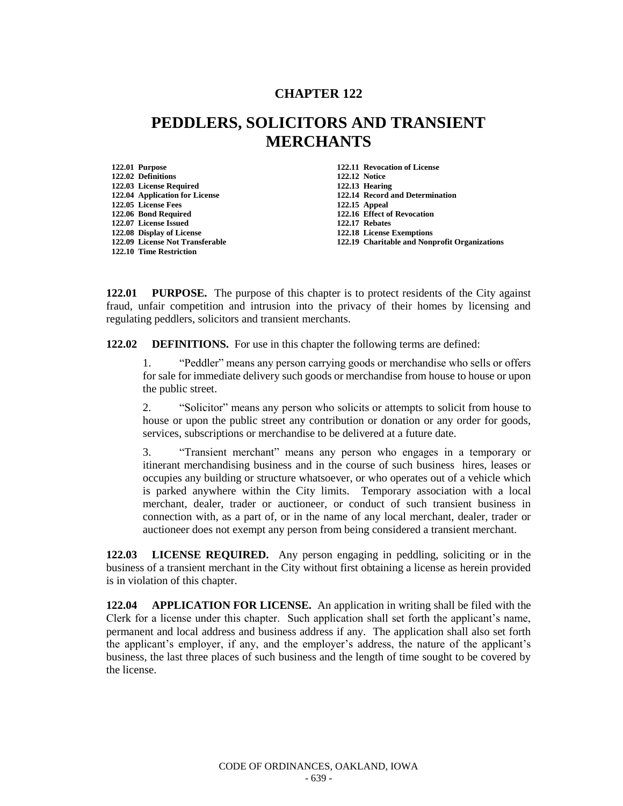## **CHAPTER 122**

## **PEDDLERS, SOLICITORS AND TRANSIENT MERCHANTS**

**122.02 Definitions 122.12 Notice 122.03 License Required<br><b>122.04 Application for License 122.05 License Fees 122.15 Appeal 122.06 Bond Required 122.16 Effect of Revocation 122.07 License Issued 122.17 Rebates 122.08 Display of License 122.18 License Exemptions 122.10 Time Restriction**

**122.01 Purpose 122.11 Revocation of License 122.04 Application for License 122.14 Record and Determination 122.19 Charitable and Nonprofit Organizations** 

**122.01 PURPOSE.** The purpose of this chapter is to protect residents of the City against fraud, unfair competition and intrusion into the privacy of their homes by licensing and regulating peddlers, solicitors and transient merchants.

**122.02 DEFINITIONS.** For use in this chapter the following terms are defined:

1. "Peddler" means any person carrying goods or merchandise who sells or offers for sale for immediate delivery such goods or merchandise from house to house or upon the public street.

2. "Solicitor" means any person who solicits or attempts to solicit from house to house or upon the public street any contribution or donation or any order for goods, services, subscriptions or merchandise to be delivered at a future date.

3. "Transient merchant" means any person who engages in a temporary or itinerant merchandising business and in the course of such business hires, leases or occupies any building or structure whatsoever, or who operates out of a vehicle which is parked anywhere within the City limits. Temporary association with a local merchant, dealer, trader or auctioneer, or conduct of such transient business in connection with, as a part of, or in the name of any local merchant, dealer, trader or auctioneer does not exempt any person from being considered a transient merchant.

**122.03 LICENSE REQUIRED.** Any person engaging in peddling, soliciting or in the business of a transient merchant in the City without first obtaining a license as herein provided is in violation of this chapter.

**122.04 APPLICATION FOR LICENSE.** An application in writing shall be filed with the Clerk for a license under this chapter. Such application shall set forth the applicant's name, permanent and local address and business address if any. The application shall also set forth the applicant's employer, if any, and the employer's address, the nature of the applicant's business, the last three places of such business and the length of time sought to be covered by the license.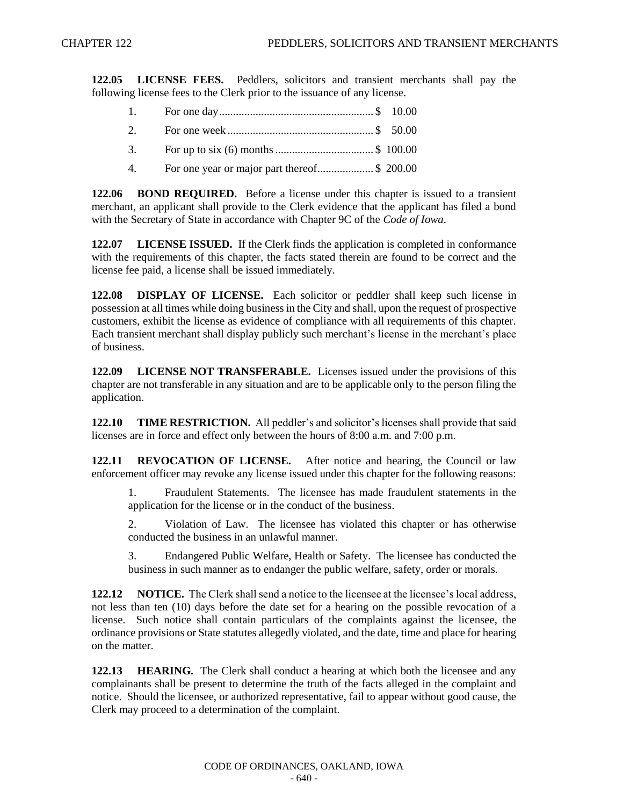**122.05 LICENSE FEES.** Peddlers, solicitors and transient merchants shall pay the following license fees to the Clerk prior to the issuance of any license.

- 1. For one day....................................................... \$ 10.00 2. For one week .................................................... \$ 50.00 3. For up to six (6) months................................... \$ 100.00
- 4. For one year or major part thereof.................... \$ 200.00

**122.06 BOND REQUIRED.** Before a license under this chapter is issued to a transient merchant, an applicant shall provide to the Clerk evidence that the applicant has filed a bond with the Secretary of State in accordance with Chapter 9C of the *Code of Iowa*.

**122.07 LICENSE ISSUED.** If the Clerk finds the application is completed in conformance with the requirements of this chapter, the facts stated therein are found to be correct and the license fee paid, a license shall be issued immediately.

**122.08 DISPLAY OF LICENSE.** Each solicitor or peddler shall keep such license in possession at all times while doing business in the City and shall, upon the request of prospective customers, exhibit the license as evidence of compliance with all requirements of this chapter. Each transient merchant shall display publicly such merchant's license in the merchant's place of business.

**122.09 LICENSE NOT TRANSFERABLE.** Licenses issued under the provisions of this chapter are not transferable in any situation and are to be applicable only to the person filing the application.

**122.10 TIME RESTRICTION.** All peddler's and solicitor's licenses shall provide that said licenses are in force and effect only between the hours of 8:00 a.m. and 7:00 p.m.

**122.11 REVOCATION OF LICENSE.** After notice and hearing, the Council or law enforcement officer may revoke any license issued under this chapter for the following reasons:

1. Fraudulent Statements. The licensee has made fraudulent statements in the application for the license or in the conduct of the business.

2. Violation of Law. The licensee has violated this chapter or has otherwise conducted the business in an unlawful manner.

3. Endangered Public Welfare, Health or Safety. The licensee has conducted the business in such manner as to endanger the public welfare, safety, order or morals.

**122.12 NOTICE.** The Clerk shall send a notice to the licensee at the licensee's local address, not less than ten (10) days before the date set for a hearing on the possible revocation of a license. Such notice shall contain particulars of the complaints against the licensee, the ordinance provisions or State statutes allegedly violated, and the date, time and place for hearing on the matter.

**122.13 HEARING.** The Clerk shall conduct a hearing at which both the licensee and any complainants shall be present to determine the truth of the facts alleged in the complaint and notice. Should the licensee, or authorized representative, fail to appear without good cause, the Clerk may proceed to a determination of the complaint.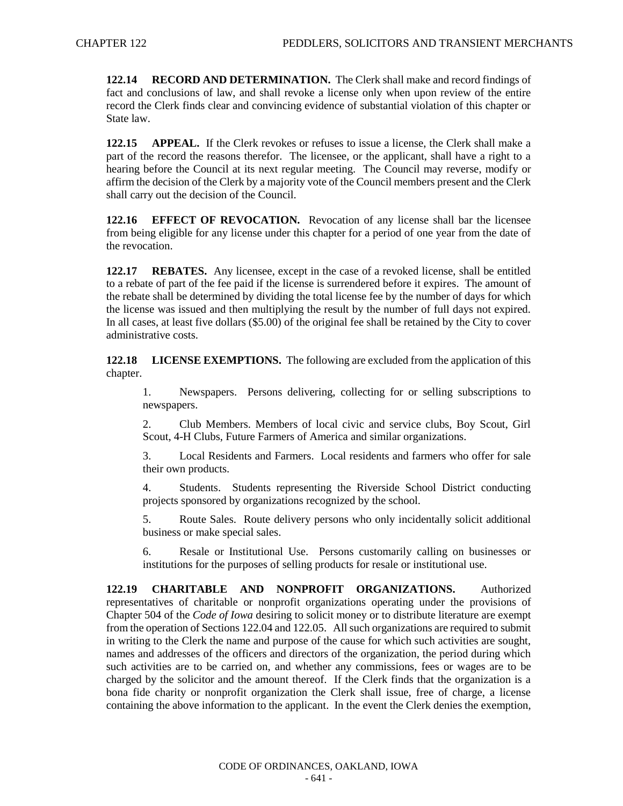**122.14 RECORD AND DETERMINATION.** The Clerk shall make and record findings of fact and conclusions of law, and shall revoke a license only when upon review of the entire record the Clerk finds clear and convincing evidence of substantial violation of this chapter or State law.

**122.15 APPEAL.** If the Clerk revokes or refuses to issue a license, the Clerk shall make a part of the record the reasons therefor. The licensee, or the applicant, shall have a right to a hearing before the Council at its next regular meeting. The Council may reverse, modify or affirm the decision of the Clerk by a majority vote of the Council members present and the Clerk shall carry out the decision of the Council.

**122.16 EFFECT OF REVOCATION.** Revocation of any license shall bar the licensee from being eligible for any license under this chapter for a period of one year from the date of the revocation.

**122.17 REBATES.** Any licensee, except in the case of a revoked license, shall be entitled to a rebate of part of the fee paid if the license is surrendered before it expires. The amount of the rebate shall be determined by dividing the total license fee by the number of days for which the license was issued and then multiplying the result by the number of full days not expired. In all cases, at least five dollars (\$5.00) of the original fee shall be retained by the City to cover administrative costs.

**122.18 LICENSE EXEMPTIONS.** The following are excluded from the application of this chapter.

1. Newspapers. Persons delivering, collecting for or selling subscriptions to newspapers.

2. Club Members. Members of local civic and service clubs, Boy Scout, Girl Scout, 4-H Clubs, Future Farmers of America and similar organizations.

3. Local Residents and Farmers. Local residents and farmers who offer for sale their own products.

4. Students. Students representing the Riverside School District conducting projects sponsored by organizations recognized by the school.

5. Route Sales. Route delivery persons who only incidentally solicit additional business or make special sales.

6. Resale or Institutional Use. Persons customarily calling on businesses or institutions for the purposes of selling products for resale or institutional use.

**122.19 CHARITABLE AND NONPROFIT ORGANIZATIONS.** Authorized representatives of charitable or nonprofit organizations operating under the provisions of Chapter 504 of the *Code of Iowa* desiring to solicit money or to distribute literature are exempt from the operation of Sections 122.04 and 122.05. All such organizations are required to submit in writing to the Clerk the name and purpose of the cause for which such activities are sought, names and addresses of the officers and directors of the organization, the period during which such activities are to be carried on, and whether any commissions, fees or wages are to be charged by the solicitor and the amount thereof. If the Clerk finds that the organization is a bona fide charity or nonprofit organization the Clerk shall issue, free of charge, a license containing the above information to the applicant. In the event the Clerk denies the exemption,